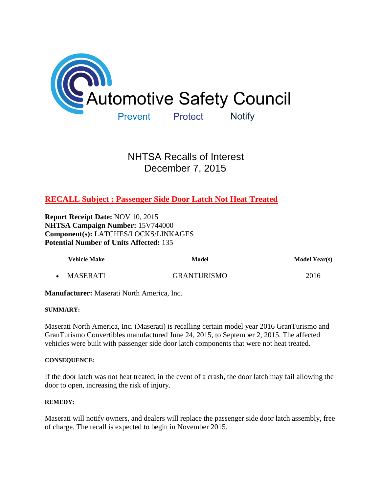

# NHTSA Recalls of Interest December 7, 2015

## **[RECALL Subject : Passenger Side Door Latch Not Heat Treated](http://www-odi.nhtsa.dot.gov/owners/SearchResults?refurl=email&searchType=ID&targetCategory=R&searchCriteria.nhtsa_ids=15V744)**

**Report Receipt Date:** NOV 10, 2015 **NHTSA Campaign Number:** 15V744000 **Component(s):** LATCHES/LOCKS/LINKAGES **Potential Number of Units Affected:** 135

| <b>Vehicle Make</b> | Model              | <b>Model Year(s)</b> |
|---------------------|--------------------|----------------------|
| MASERATI            | <b>GRANTURISMO</b> | 2016                 |

**Manufacturer:** Maserati North America, Inc.

## **SUMMARY:**

Maserati North America, Inc. (Maserati) is recalling certain model year 2016 GranTurismo and GranTurismo Convertibles manufactured June 24, 2015, to September 2, 2015. The affected vehicles were built with passenger side door latch components that were not heat treated.

## **CONSEQUENCE:**

If the door latch was not heat treated, in the event of a crash, the door latch may fail allowing the door to open, increasing the risk of injury.

## **REMEDY:**

Maserati will notify owners, and dealers will replace the passenger side door latch assembly, free of charge. The recall is expected to begin in November 2015.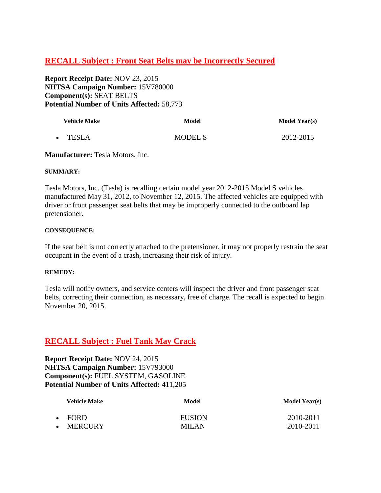## **[RECALL Subject : Front Seat Belts may be Incorrectly Secured](http://www-odi.nhtsa.dot.gov/owners/SearchResults?refurl=email&searchType=ID&targetCategory=R&searchCriteria.nhtsa_ids=15V780)**

**Report Receipt Date:** NOV 23, 2015 **NHTSA Campaign Number:** 15V780000 **Component(s):** SEAT BELTS **Potential Number of Units Affected:** 58,773

| <b>Vehicle Make</b> | Model          | <b>Model Year(s)</b> |
|---------------------|----------------|----------------------|
| • TESLA             | <b>MODEL S</b> | 2012-2015            |

**Manufacturer:** Tesla Motors, Inc.

## **SUMMARY:**

Tesla Motors, Inc. (Tesla) is recalling certain model year 2012-2015 Model S vehicles manufactured May 31, 2012, to November 12, 2015. The affected vehicles are equipped with driver or front passenger seat belts that may be improperly connected to the outboard lap pretensioner.

## **CONSEQUENCE:**

If the seat belt is not correctly attached to the pretensioner, it may not properly restrain the seat occupant in the event of a crash, increasing their risk of injury.

## **REMEDY:**

Tesla will notify owners, and service centers will inspect the driver and front passenger seat belts, correcting their connection, as necessary, free of charge. The recall is expected to begin November 20, 2015.

## **[RECALL Subject : Fuel Tank May Crack](http://www-odi.nhtsa.dot.gov/owners/SearchResults?refurl=email&searchType=ID&targetCategory=R&searchCriteria.nhtsa_ids=15V793)**

**Report Receipt Date:** NOV 24, 2015 **NHTSA Campaign Number:** 15V793000 **Component(s):** FUEL SYSTEM, GASOLINE **Potential Number of Units Affected:** 411,205

| <b>Vehicle Make</b> | Model         | <b>Model Year(s)</b> |
|---------------------|---------------|----------------------|
| $\cdot$ FORD        | <b>FUSION</b> | 2010-2011            |
| MERCURY             | MILAN         | 2010-2011            |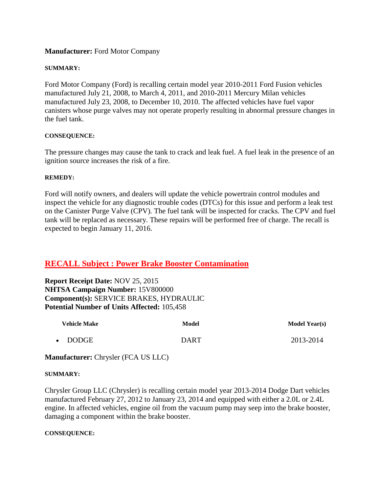## **Manufacturer:** Ford Motor Company

## **SUMMARY:**

Ford Motor Company (Ford) is recalling certain model year 2010-2011 Ford Fusion vehicles manufactured July 21, 2008, to March 4, 2011, and 2010-2011 Mercury Milan vehicles manufactured July 23, 2008, to December 10, 2010. The affected vehicles have fuel vapor canisters whose purge valves may not operate properly resulting in abnormal pressure changes in the fuel tank.

## **CONSEQUENCE:**

The pressure changes may cause the tank to crack and leak fuel. A fuel leak in the presence of an ignition source increases the risk of a fire.

## **REMEDY:**

Ford will notify owners, and dealers will update the vehicle powertrain control modules and inspect the vehicle for any diagnostic trouble codes (DTCs) for this issue and perform a leak test on the Canister Purge Valve (CPV). The fuel tank will be inspected for cracks. The CPV and fuel tank will be replaced as necessary. These repairs will be performed free of charge. The recall is expected to begin January 11, 2016.

## **[RECALL Subject : Power Brake Booster Contamination](http://www-odi.nhtsa.dot.gov/owners/SearchResults?refurl=email&searchType=ID&targetCategory=R&searchCriteria.nhtsa_ids=15V800)**

**Report Receipt Date:** NOV 25, 2015 **NHTSA Campaign Number:** 15V800000 **Component(s):** SERVICE BRAKES, HYDRAULIC **Potential Number of Units Affected:** 105,458

| <b>Vehicle Make</b> | Model | <b>Model Year(s)</b> |
|---------------------|-------|----------------------|
| • DODGE             | DART  | 2013-2014            |

**Manufacturer:** Chrysler (FCA US LLC)

## **SUMMARY:**

Chrysler Group LLC (Chrysler) is recalling certain model year 2013-2014 Dodge Dart vehicles manufactured February 27, 2012 to January 23, 2014 and equipped with either a 2.0L or 2.4L engine. In affected vehicles, engine oil from the vacuum pump may seep into the brake booster, damaging a component within the brake booster.

## **CONSEQUENCE:**